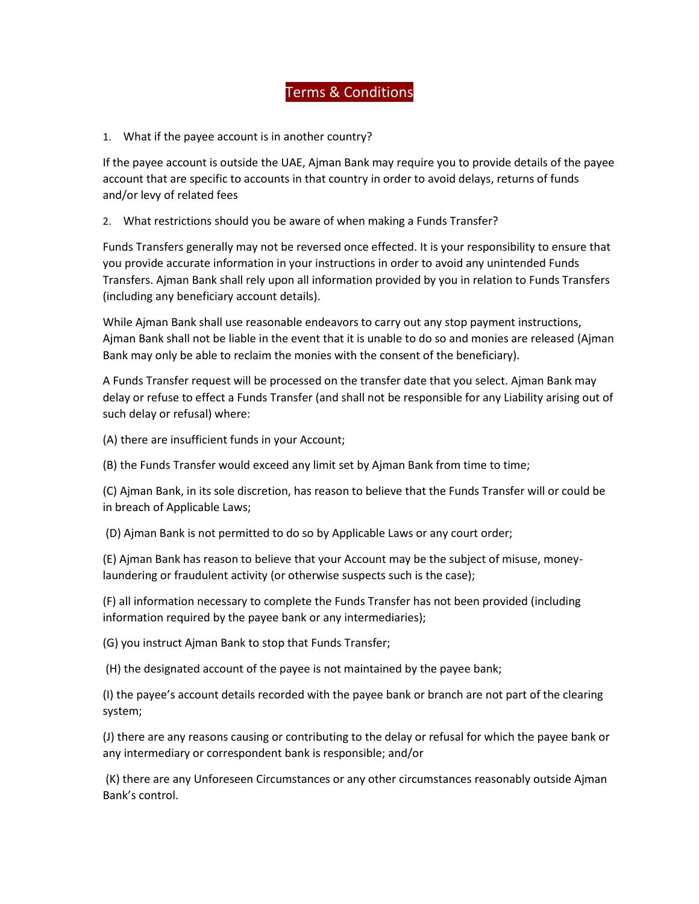## Terms & Conditions

## 1. What if the payee account is in another country?

If the payee account is outside the UAE, Ajman Bank may require you to provide details of the payee account that are specific to accounts in that country in order to avoid delays, returns of funds and/or levy of related fees

2. What restrictions should you be aware of when making a Funds Transfer?

Funds Transfers generally may not be reversed once effected. It is your responsibility to ensure that you provide accurate information in your instructions in order to avoid any unintended Funds Transfers. Ajman Bank shall rely upon all information provided by you in relation to Funds Transfers (including any beneficiary account details).

While Ajman Bank shall use reasonable endeavors to carry out any stop payment instructions, Ajman Bank shall not be liable in the event that it is unable to do so and monies are released (Ajman Bank may only be able to reclaim the monies with the consent of the beneficiary).

A Funds Transfer request will be processed on the transfer date that you select. Ajman Bank may delay or refuse to effect a Funds Transfer (and shall not be responsible for any Liability arising out of such delay or refusal) where:

(A) there are insufficient funds in your Account;

(B) the Funds Transfer would exceed any limit set by Ajman Bank from time to time;

(C) Ajman Bank, in its sole discretion, has reason to believe that the Funds Transfer will or could be in breach of Applicable Laws;

(D) Ajman Bank is not permitted to do so by Applicable Laws or any court order;

(E) Ajman Bank has reason to believe that your Account may be the subject of misuse, moneylaundering or fraudulent activity (or otherwise suspects such is the case);

(F) all information necessary to complete the Funds Transfer has not been provided (including information required by the payee bank or any intermediaries);

(G) you instruct Ajman Bank to stop that Funds Transfer;

(H) the designated account of the payee is not maintained by the payee bank;

(I) the payee's account details recorded with the payee bank or branch are not part of the clearing system;

(J) there are any reasons causing or contributing to the delay or refusal for which the payee bank or any intermediary or correspondent bank is responsible; and/or

(K) there are any Unforeseen Circumstances or any other circumstances reasonably outside Ajman Bank's control.